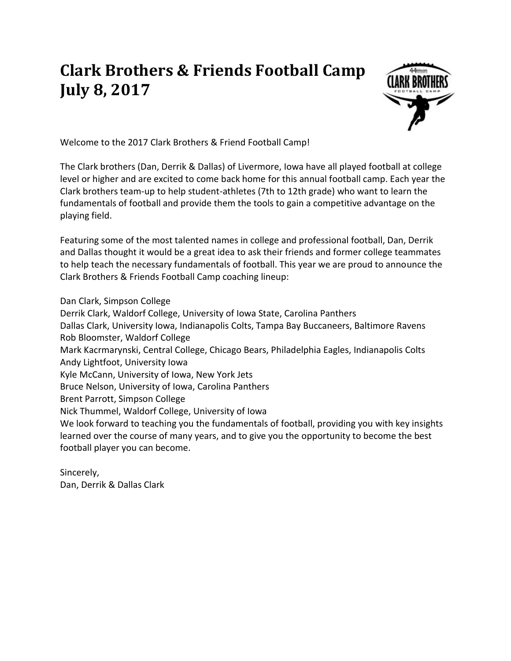## **Clark Brothers & Friends Football Camp July 8, 2017**



Welcome to the 2017 Clark Brothers & Friend Football Camp!

The Clark brothers (Dan, Derrik & Dallas) of Livermore, Iowa have all played football at college level or higher and are excited to come back home for this annual football camp. Each year the Clark brothers team-up to help student-athletes (7th to 12th grade) who want to learn the fundamentals of football and provide them the tools to gain a competitive advantage on the playing field.

Featuring some of the most talented names in college and professional football, Dan, Derrik and Dallas thought it would be a great idea to ask their friends and former college teammates to help teach the necessary fundamentals of football. This year we are proud to announce the Clark Brothers & Friends Football Camp coaching lineup:

Dan Clark, Simpson College Derrik Clark, Waldorf College, University of Iowa State, Carolina Panthers Dallas Clark, University Iowa, Indianapolis Colts, Tampa Bay Buccaneers, Baltimore Ravens Rob Bloomster, Waldorf College Mark Kacrmarynski, Central College, Chicago Bears, Philadelphia Eagles, Indianapolis Colts Andy Lightfoot, University Iowa Kyle McCann, University of Iowa, New York Jets Bruce Nelson, University of Iowa, Carolina Panthers Brent Parrott, Simpson College Nick Thummel, Waldorf College, University of Iowa We look forward to teaching you the fundamentals of football, providing you with key insights learned over the course of many years, and to give you the opportunity to become the best football player you can become.

Sincerely, Dan, Derrik & Dallas Clark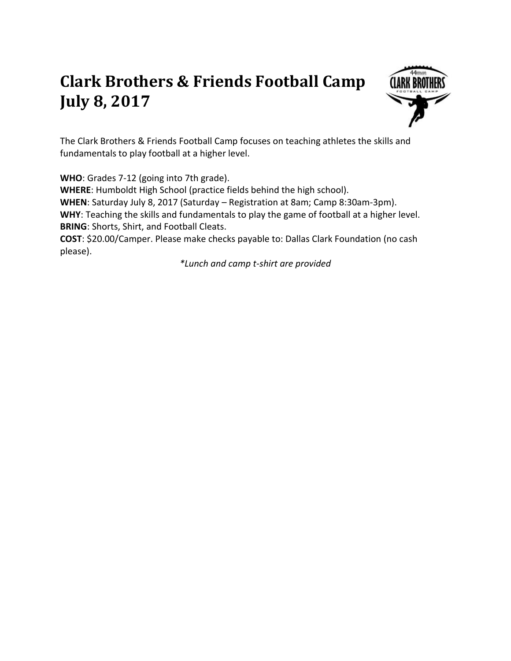## **Clark Brothers & Friends Football Camp July 8, 2017**



The Clark Brothers & Friends Football Camp focuses on teaching athletes the skills and fundamentals to play football at a higher level.

**WHO**: Grades 7-12 (going into 7th grade).

**WHERE**: Humboldt High School (practice fields behind the high school). **WHEN**: Saturday July 8, 2017 (Saturday – Registration at 8am; Camp 8:30am-3pm). **WHY**: Teaching the skills and fundamentals to play the game of football at a higher level. **BRING**: Shorts, Shirt, and Football Cleats.

**COST**: \$20.00/Camper. Please make checks payable to: Dallas Clark Foundation (no cash please).

*\*Lunch and camp t-shirt are provided*